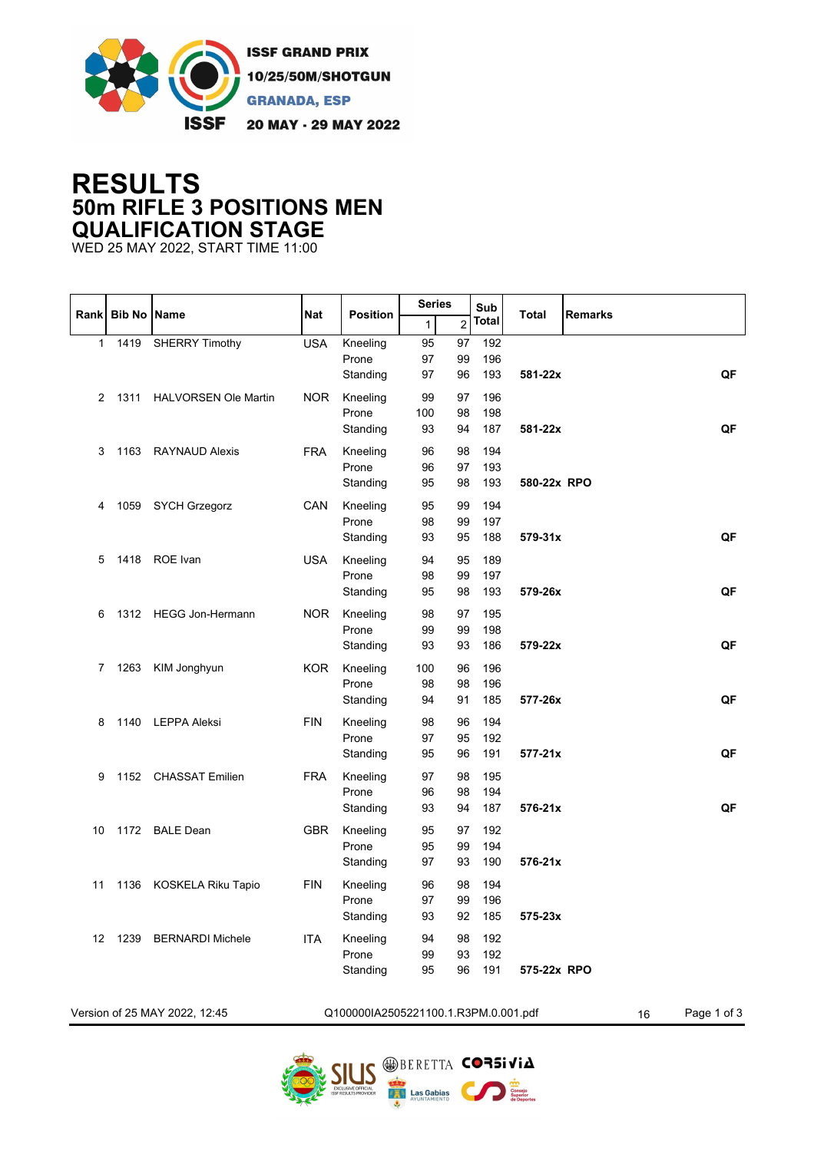

## **RESULTS 50m RIFLE 3 POSITIONS MEN QUALIFICATION STAGE**

WED 25 MAY 2022, START TIME 11:00

|              |                    |                               |            |                                      | <b>Series</b> |                | Sub          |             |                |             |
|--------------|--------------------|-------------------------------|------------|--------------------------------------|---------------|----------------|--------------|-------------|----------------|-------------|
| <b>Rank</b>  | <b>Bib No Name</b> |                               | <b>Nat</b> | <b>Position</b>                      | $\mathbf{1}$  | $\overline{2}$ | <b>Total</b> | Total       | <b>Remarks</b> |             |
| $\mathbf{1}$ | 1419               | <b>SHERRY Timothy</b>         | <b>USA</b> | Kneeling                             | 95            | 97             | 192          |             |                |             |
|              |                    |                               |            | Prone                                | 97            | 99             | 196          |             |                |             |
|              |                    |                               |            | Standing                             | 97            | 96             | 193          | 581-22x     |                | QF          |
| 2            |                    | 1311 HALVORSEN Ole Martin     | <b>NOR</b> | Kneeling                             | 99            | 97             | 196          |             |                |             |
|              |                    |                               |            | Prone                                | 100           | 98             | 198          |             |                |             |
|              |                    |                               |            | Standing                             | 93            | 94             | 187          | 581-22x     |                | QF          |
| 3            | 1163               | <b>RAYNAUD Alexis</b>         | <b>FRA</b> | Kneeling                             | 96            | 98             | 194          |             |                |             |
|              |                    |                               |            | Prone                                | 96            | 97             | 193          |             |                |             |
|              |                    |                               |            | Standing                             | 95            | 98             | 193          | 580-22x RPO |                |             |
| 4            | 1059               | <b>SYCH Grzegorz</b>          | CAN        | Kneeling                             | 95            | 99             | 194          |             |                |             |
|              |                    |                               |            | Prone                                | 98            | 99             | 197          |             |                |             |
|              |                    |                               |            | Standing                             | 93            | 95             | 188          | 579-31x     |                | QF          |
|              |                    |                               |            |                                      |               |                |              |             |                |             |
| 5            |                    | 1418 ROE Ivan                 | <b>USA</b> | Kneeling<br>Prone                    | 94            | 95<br>99       | 189          |             |                |             |
|              |                    |                               |            | Standing                             | 98<br>95      | 98             | 197<br>193   | 579-26x     |                | QF          |
|              |                    |                               |            |                                      |               |                |              |             |                |             |
| 6            |                    | 1312 HEGG Jon-Hermann         | <b>NOR</b> | Kneeling                             | 98            | 97             | 195          |             |                |             |
|              |                    |                               |            | Prone                                | 99            | 99             | 198          |             |                |             |
|              |                    |                               |            | Standing                             | 93            | 93             | 186          | 579-22x     |                | QF          |
| 7            | 1263               | KIM Jonghyun                  | <b>KOR</b> | Kneeling                             | 100           | 96             | 196          |             |                |             |
|              |                    |                               |            | Prone                                | 98            | 98             | 196          |             |                |             |
|              |                    |                               |            | Standing                             | 94            | 91             | 185          | 577-26x     |                | QF          |
| 8            | 1140               | LEPPA Aleksi                  | <b>FIN</b> | Kneeling                             | 98            | 96             | 194          |             |                |             |
|              |                    |                               |            | Prone                                | 97            | 95             | 192          |             |                |             |
|              |                    |                               |            | Standing                             | 95            | 96             | 191          | $577 - 21x$ |                | QF          |
| 9            |                    | 1152 CHASSAT Emilien          | <b>FRA</b> | Kneeling                             | 97            | 98             | 195          |             |                |             |
|              |                    |                               |            | Prone                                | 96            | 98             | 194          |             |                |             |
|              |                    |                               |            | Standing                             | 93            | 94             | 187          | $576-21x$   |                | QF          |
| 10           | 1172               | <b>BALE Dean</b>              | <b>GBR</b> | Kneeling                             | 95            | 97             | 192          |             |                |             |
|              |                    |                               |            | Prone                                | 95            | 99             | 194          |             |                |             |
|              |                    |                               |            | Standing                             | 97            | 93             | 190          | 576-21x     |                |             |
| 11           |                    | 1136 KOSKELA Riku Tapio       | <b>FIN</b> | Kneeling                             | 96            | 98             | 194          |             |                |             |
|              |                    |                               |            | Prone                                | 97            | 99             | 196          |             |                |             |
|              |                    |                               |            | Standing                             | 93            |                | 92 185       | 575-23x     |                |             |
|              |                    |                               |            |                                      |               |                |              |             |                |             |
|              |                    | 12 1239 BERNARDI Michele      | <b>ITA</b> | Kneeling                             | 94            | 98             | 192          |             |                |             |
|              |                    |                               |            | Prone<br>Standing                    | 99            | 93<br>96       | 192<br>191   | 575-22x RPO |                |             |
|              |                    |                               |            |                                      | 95            |                |              |             |                |             |
|              |                    |                               |            |                                      |               |                |              |             |                |             |
|              |                    | Version of 25 MAY 2022, 12:45 |            | Q100000IA2505221100.1.R3PM.0.001.pdf |               |                |              |             | 16             | Page 1 of 3 |

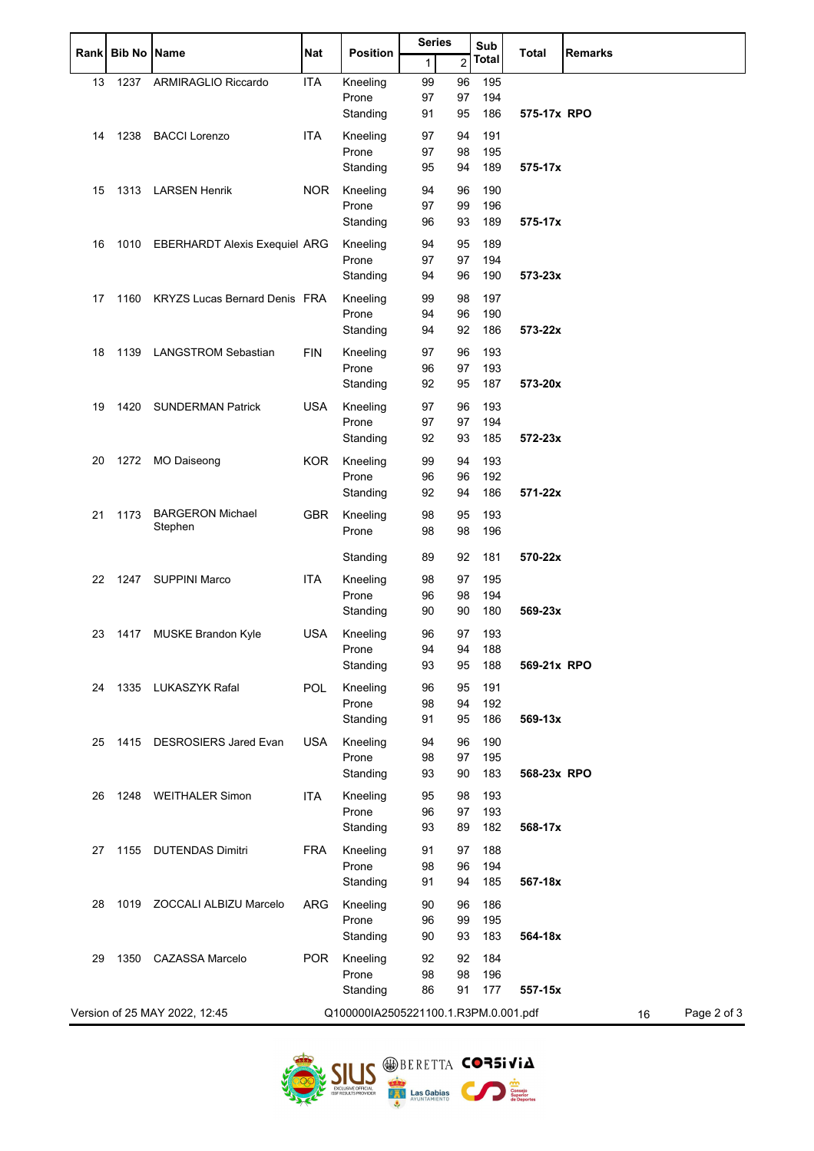| <b>Rank</b> | <b>Bib No Name</b> |                                      | Nat        | <b>Position</b>                      | <b>Series</b> |                | Sub        | <b>Total</b> | <b>Remarks</b>    |
|-------------|--------------------|--------------------------------------|------------|--------------------------------------|---------------|----------------|------------|--------------|-------------------|
|             |                    |                                      |            |                                      | 1             | $\overline{c}$ | Total      |              |                   |
| 13          | 1237               | ARMIRAGLIO Riccardo                  | <b>ITA</b> | Kneeling                             | 99            | 96             | 195        |              |                   |
|             |                    |                                      |            | Prone                                | 97            | 97             | 194        |              |                   |
|             |                    |                                      |            | Standing                             | 91            | 95             | 186        | 575-17x RPO  |                   |
| 14          | 1238               | <b>BACCI Lorenzo</b>                 | <b>ITA</b> | Kneeling                             | 97            | 94             | 191        |              |                   |
|             |                    |                                      |            | Prone                                | 97            | 98             | 195        |              |                   |
|             |                    |                                      |            | Standing                             | 95            | 94             | 189        | 575-17x      |                   |
| 15          |                    | 1313 LARSEN Henrik                   | NOR.       | Kneeling                             | 94            | 96             | 190        |              |                   |
|             |                    |                                      |            | Prone                                | 97            | 99             | 196        |              |                   |
|             |                    |                                      |            | Standing                             | 96            | 93             | 189        | 575-17x      |                   |
| 16          |                    | 1010 EBERHARDT Alexis Exequiel ARG   |            | Kneeling                             | 94            | 95             | 189        |              |                   |
|             |                    |                                      |            | Prone                                | 97            | 97             | 194        |              |                   |
|             |                    |                                      |            | Standing                             | 94            | 96             | 190        | 573-23x      |                   |
| 17          | 1160               | <b>KRYZS Lucas Bernard Denis FRA</b> |            | Kneeling                             | 99            | 98             | 197        |              |                   |
|             |                    |                                      |            | Prone                                | 94            | 96             | 190        |              |                   |
|             |                    |                                      |            | Standing                             | 94            | 92             | 186        | 573-22x      |                   |
| 18          | 1139               | <b>LANGSTROM Sebastian</b>           | <b>FIN</b> | Kneeling                             | 97            | 96             | 193        |              |                   |
|             |                    |                                      |            | Prone                                | 96            | 97             | 193        |              |                   |
|             |                    |                                      |            | Standing                             | 92            | 95             | 187        | 573-20x      |                   |
| 19          | 1420               | <b>SUNDERMAN Patrick</b>             | <b>USA</b> | Kneeling                             | 97            | 96             | 193        |              |                   |
|             |                    |                                      |            | Prone                                | 97            | 97             | 194        |              |                   |
|             |                    |                                      |            | Standing                             | 92            | 93             | 185        | 572-23x      |                   |
| 20          | 1272               | <b>MO Daiseong</b>                   | <b>KOR</b> | Kneeling                             | 99            | 94             | 193        |              |                   |
|             |                    |                                      |            | Prone                                | 96            | 96             | 192        |              |                   |
|             |                    |                                      |            | Standing                             | 92            | 94             | 186        | 571-22x      |                   |
| 21          | 1173               | <b>BARGERON Michael</b>              | <b>GBR</b> | Kneeling                             | 98            | 95             | 193        |              |                   |
|             |                    | Stephen                              |            | Prone                                | 98            | 98             | 196        |              |                   |
|             |                    |                                      |            | Standing                             | 89            | 92             | 181        | 570-22x      |                   |
|             |                    | <b>SUPPINI Marco</b>                 | <b>ITA</b> |                                      |               |                |            |              |                   |
| 22          | 1247               |                                      |            | Kneeling<br>Prone                    | 98<br>96      | 97<br>98       | 195<br>194 |              |                   |
|             |                    |                                      |            | Standing                             | 90            | 90             | 180        | 569-23x      |                   |
| 23          |                    |                                      | <b>USA</b> | Kneeling                             | 96            | 97             | 193        |              |                   |
|             | 1417               | <b>MUSKE Brandon Kyle</b>            |            | Prone                                | 94            | 94             | 188        |              |                   |
|             |                    |                                      |            | Standing                             | 93            | 95             | 188        | 569-21x RPO  |                   |
| 24          | 1335               | LUKASZYK Rafal                       | <b>POL</b> | Kneeling                             | 96            | 95             | 191        |              |                   |
|             |                    |                                      |            | Prone                                | 98            | 94             | 192        |              |                   |
|             |                    |                                      |            | Standing                             | 91            | 95             | 186        | 569-13x      |                   |
| 25          | 1415               | <b>DESROSIERS Jared Evan</b>         | <b>USA</b> | Kneeling                             | 94            | 96             | 190        |              |                   |
|             |                    |                                      |            | Prone                                | 98            | 97             | 195        |              |                   |
|             |                    |                                      |            | Standing                             | 93            | 90             | 183        | 568-23x RPO  |                   |
| 26          |                    | 1248 WEITHALER Simon                 | <b>ITA</b> | Kneeling                             | 95            | 98             | 193        |              |                   |
|             |                    |                                      |            | Prone                                | 96            | 97             | 193        |              |                   |
|             |                    |                                      |            | Standing                             | 93            | 89             | 182        | 568-17x      |                   |
| 27          | 1155               | <b>DUTENDAS Dimitri</b>              | <b>FRA</b> | Kneeling                             | 91            | 97             | 188        |              |                   |
|             |                    |                                      |            | Prone                                | 98            | 96             | 194        |              |                   |
|             |                    |                                      |            | Standing                             | 91            | 94             | 185        | 567-18x      |                   |
| 28          | 1019               | ZOCCALI ALBIZU Marcelo               | <b>ARG</b> | Kneeling                             | 90            | 96             | 186        |              |                   |
|             |                    |                                      |            | Prone                                | 96            | 99             | 195        |              |                   |
|             |                    |                                      |            | Standing                             | 90            | 93             | 183        | 564-18x      |                   |
| 29          | 1350               | <b>CAZASSA Marcelo</b>               | <b>POR</b> | Kneeling                             | 92            | 92             | 184        |              |                   |
|             |                    |                                      |            | Prone                                | 98            | 98             | 196        |              |                   |
|             |                    |                                      |            | Standing                             | 86            | 91             | 177        | 557-15x      |                   |
|             |                    | Version of 25 MAY 2022, 12:45        |            | Q100000IA2505221100.1.R3PM.0.001.pdf |               |                |            |              | Page 2 of 3<br>16 |
|             |                    |                                      |            |                                      |               |                |            |              |                   |